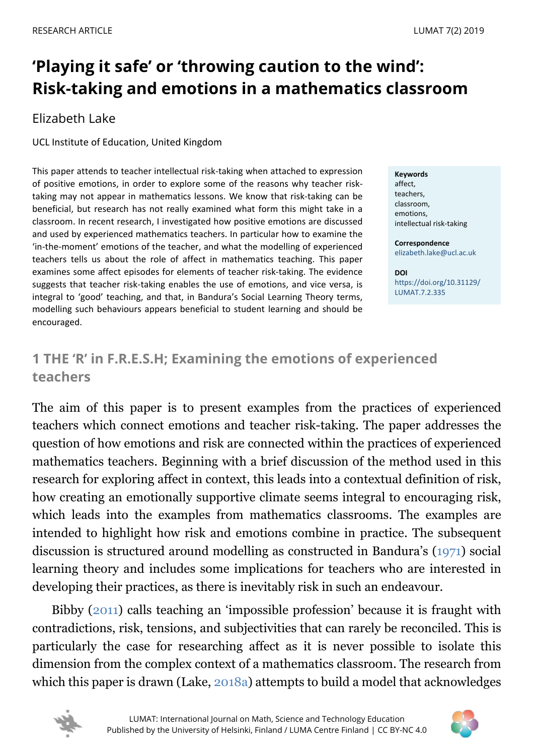# **'Playing it safe' or 'throwing caution to the wind': Risk-taking and emotions in a mathematics classroom**

## Elizabeth Lake

UCL Institute of Education, United Kingdom

This paper attends to teacher intellectual risk-taking when attached to expression of positive emotions, in order to explore some of the reasons why teacher risktaking may not appear in mathematics lessons. We know that risk-taking can be beneficial, but research has not really examined what form this might take in a classroom. In recent research, I investigated how positive emotions are discussed and used by experienced mathematics teachers. In particular how to examine the 'in-the-moment' emotions of the teacher, and what the modelling of experienced teachers tells us about the role of affect in mathematics teaching. This paper examines some affect episodes for elements of teacher risk-taking. The evidence suggests that teacher risk-taking enables the use of emotions, and vice versa, is integral to 'good' teaching, and that, in Bandura's Social Learning Theory terms, modelling such behaviours appears beneficial to student learning and should be encouraged.

**Keywords** affect, teachers, classroom, emotions, intellectual risk-taking

**Correspondence** [elizabeth.lake@ucl.ac.uk](mailto:elizabeth.lake@ucl.ac.uk)

**DOI** [https://doi.org/10.31129/](https://doi.org/10.31129/LUMAT.7.2.335) [LUMAT.7.2.335](https://doi.org/10.31129/LUMAT.7.2.335)

# <span id="page-0-0"></span>**1 THE 'R' in F.R.E.S.H; Examining the emotions of experienced teachers**

The aim of this paper is to present examples from the practices of experienced teachers which connect emotions and teacher risk-taking. The paper addresses the question of how emotions and risk are connected within the practices of experienced mathematics teachers. Beginning with a brief discussion of the method used in this research for exploring affect in context, this leads into a contextual definition of risk, how creating an emotionally supportive climate seems integral to encouraging risk, which leads into the examples from mathematics classrooms. The examples are intended to highlight how risk and emotions combine in practice. The subsequent discussion is structured around modelling as constructed in Bandura's [\(1971\)](#page-13-0) social learning theory and includes some implications for teachers who are interested in developing their practices, as there is inevitably risk in such an endeavour.

Bibby [\(2011\)](#page-13-0) calls teaching an 'impossible profession' because it is fraught with contradictions, risk, tensions, and subjectivities that can rarely be reconciled. This is particularly the case for researching affect as it is never possible to isolate this dimension from the complex context of a mathematics classroom. The research from which this paper is drawn (Lake, [2018a\)](#page-13-0) attempts to build a model that acknowledges



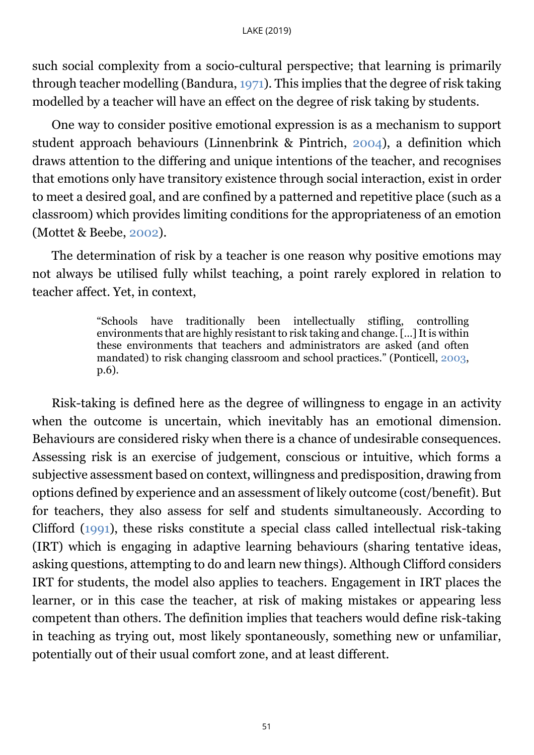such social complexity from a socio-cultural perspective; that learning is primarily through teacher modelling (Bandura, [1971\)](#page-13-0). This implies that the degree of risk taking modelled by a teacher will have an effect on the degree of risk taking by students.

One way to consider positive emotional expression is as a mechanism to support student approach behaviours (Linnenbrink & Pintrich, [2004\)](#page-13-0), a definition which draws attention to the differing and unique intentions of the teacher, and recognises that emotions only have transitory existence through social interaction, exist in order to meet a desired goal, and are confined by a patterned and repetitive place (such as a classroom) which provides limiting conditions for the appropriateness of an emotion (Mottet & Beebe, [2002\)](#page-13-0).

The determination of risk by a teacher is one reason why positive emotions may not always be utilised fully whilst teaching, a point rarely explored in relation to teacher affect. Yet, in context,

> "Schools have traditionally been intellectually stifling, controlling environments that are highly resistant to risk taking and change. […] It is within these environments that teachers and administrators are asked (and often mandated) to risk changing classroom and school practices." (Ponticell, [2003,](#page-13-0) p.6).

Risk-taking is defined here as the degree of willingness to engage in an activity when the outcome is uncertain, which inevitably has an emotional dimension. Behaviours are considered risky when there is a chance of undesirable consequences. Assessing risk is an exercise of judgement, conscious or intuitive, which forms a subjective assessment based on context, willingness and predisposition, drawing from options defined by experience and an assessment of likely outcome (cost/benefit). But for teachers, they also assess for self and students simultaneously. According to Clifford [\(1991\)](#page-13-0), these risks constitute a special class called intellectual risk-taking (IRT) which is engaging in adaptive learning behaviours (sharing tentative ideas, asking questions, attempting to do and learn new things). Although Clifford considers IRT for students, the model also applies to teachers. Engagement in IRT places the learner, or in this case the teacher, at risk of making mistakes or appearing less competent than others. The definition implies that teachers would define risk-taking in teaching as trying out, most likely spontaneously, something new or unfamiliar, potentially out of their usual comfort zone, and at least different.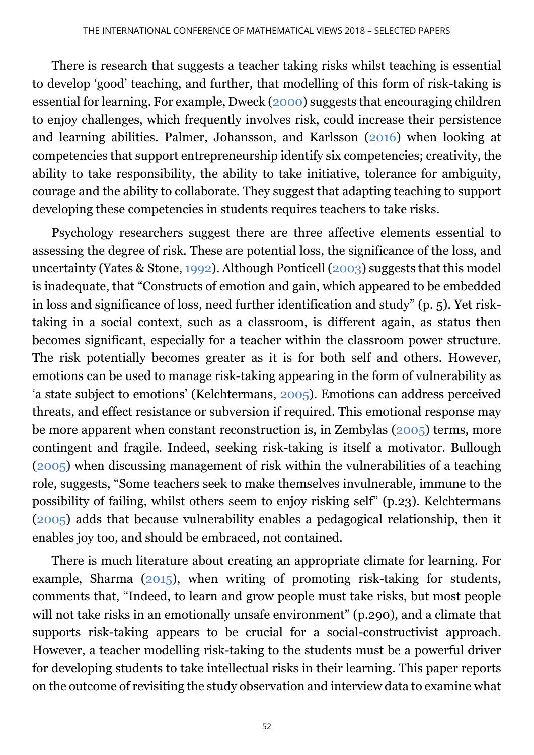There is research that suggests a teacher taking risks whilst teaching is essential to develop 'good' teaching, and further, that modelling of this form of risk-taking is essential for learning. For example, Dweck [\(2000\)](#page-13-0) suggests that encouraging children to enjoy challenges, which frequently involves risk, could increase their persistence and learning abilities. Palmer, Johansson, and Karlsson [\(2016\)](#page-13-0) when looking at competencies that support entrepreneurship identify six competencies; creativity, the ability to take responsibility, the ability to take initiative, tolerance for ambiguity, courage and the ability to collaborate. They suggest that adapting teaching to support developing these competencies in students requires teachers to take risks.

Psychology researchers suggest there are three affective elements essential to assessing the degree of risk. These are potential loss, the significance of the loss, and uncertainty (Yates & Stone, [1992\)](#page-13-0). Although Ponticell [\(2003\)](#page-13-0) suggests that this model is inadequate, that "Constructs of emotion and gain, which appeared to be embedded in loss and significance of loss, need further identification and study" (p. 5). Yet risktaking in a social context, such as a classroom, is different again, as status then becomes significant, especially for a teacher within the classroom power structure. The risk potentially becomes greater as it is for both self and others. However, emotions can be used to manage risk-taking appearing in the form of vulnerability as 'a state subject to emotions' (Kelchtermans, [2005\)](#page-13-0). Emotions can address perceived threats, and effect resistance or subversion if required. This emotional response may be more apparent when constant reconstruction is, in Zembylas [\(2005\)](#page-13-0) terms, more contingent and fragile. Indeed, seeking risk-taking is itself a motivator. Bullough [\(2005\)](#page-13-0) when discussing management of risk within the vulnerabilities of a teaching role, suggests, "Some teachers seek to make themselves invulnerable, immune to the possibility of failing, whilst others seem to enjoy risking self" (p.23). Kelchtermans [\(2005\)](#page-13-0) adds that because vulnerability enables a pedagogical relationship, then it enables joy too, and should be embraced, not contained.

There is much literature about creating an appropriate climate for learning. For example, Sharma  $(2015)$ , when writing of promoting risk-taking for students, comments that, "Indeed, to learn and grow people must take risks, but most people will not take risks in an emotionally unsafe environment" (p.290), and a climate that supports risk-taking appears to be crucial for a social-constructivist approach. However, a teacher modelling risk-taking to the students must be a powerful driver for developing students to take intellectual risks in their learning. This paper reports on the outcome of revisiting the study observation and interview data to examine what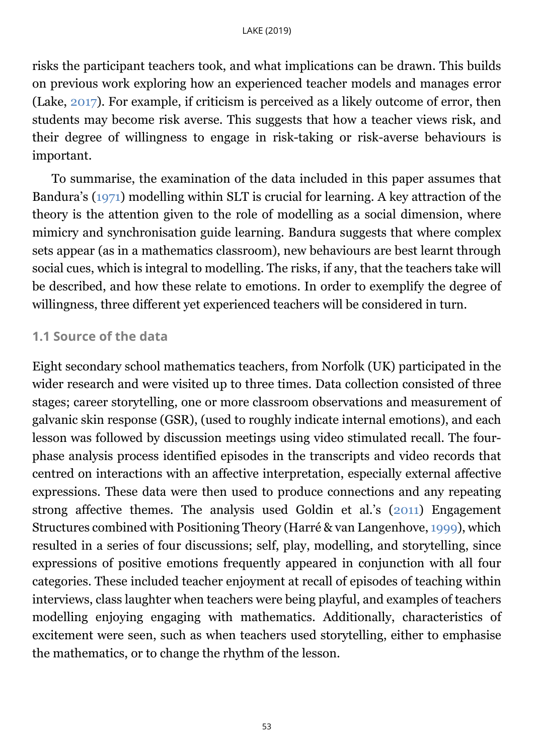risks the participant teachers took, and what implications can be drawn. This builds on previous work exploring how an experienced teacher models and manages error (Lake, [2017\)](#page-13-0). For example, if criticism is perceived as a likely outcome of error, then students may become risk averse. This suggests that how a teacher views risk, and their degree of willingness to engage in risk-taking or risk-averse behaviours is important.

To summarise, the examination of the data included in this paper assumes that Bandura's [\(1971\)](#page-13-0) modelling within SLT is crucial for learning. A key attraction of the theory is the attention given to the role of modelling as a social dimension, where mimicry and synchronisation guide learning. Bandura suggests that where complex sets appear (as in a mathematics classroom), new behaviours are best learnt through social cues, which is integral to modelling. The risks, if any, that the teachers take will be described, and how these relate to emotions. In order to exemplify the degree of willingness, three different yet experienced teachers will be considered in turn.

#### <span id="page-3-0"></span>**1.1 Source of the data**

Eight secondary school mathematics teachers, from Norfolk (UK) participated in the wider research and were visited up to three times. Data collection consisted of three stages; career storytelling, one or more classroom observations and measurement of galvanic skin response (GSR), (used to roughly indicate internal emotions), and each lesson was followed by discussion meetings using video stimulated recall. The fourphase analysis process identified episodes in the transcripts and video records that centred on interactions with an affective interpretation, especially external affective expressions. These data were then used to produce connections and any repeating strong affective themes. The analysis used Goldin et al.'s [\(2011\)](#page-13-0) Engagement Structures combined with Positioning Theory (Harré & van Langenhove, [1999\)](#page-13-0), which resulted in a series of four discussions; self, play, modelling, and storytelling, since expressions of positive emotions frequently appeared in conjunction with all four categories. These included teacher enjoyment at recall of episodes of teaching within interviews, class laughter when teachers were being playful, and examples of teachers modelling enjoying engaging with mathematics. Additionally, characteristics of excitement were seen, such as when teachers used storytelling, either to emphasise the mathematics, or to change the rhythm of the lesson.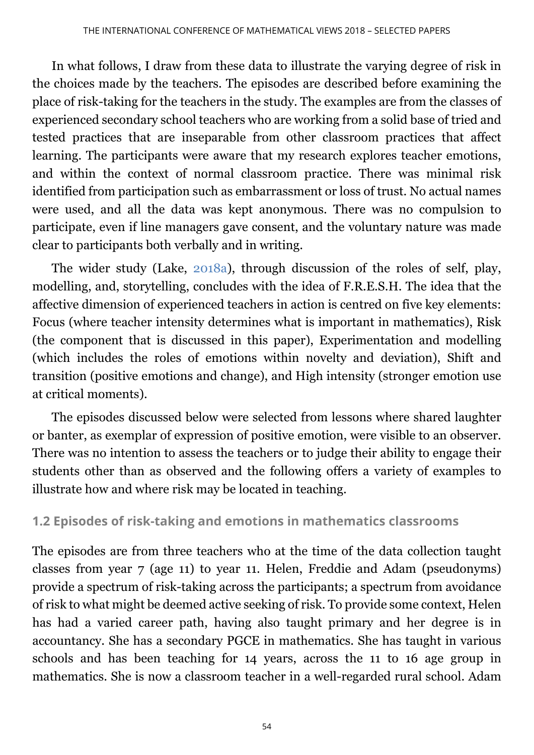In what follows, I draw from these data to illustrate the varying degree of risk in the choices made by the teachers. The episodes are described before examining the place of risk-taking for the teachers in the study. The examples are from the classes of experienced secondary school teachers who are working from a solid base of tried and tested practices that are inseparable from other classroom practices that affect learning. The participants were aware that my research explores teacher emotions, and within the context of normal classroom practice. There was minimal risk identified from participation such as embarrassment or loss of trust. No actual names were used, and all the data was kept anonymous. There was no compulsion to participate, even if line managers gave consent, and the voluntary nature was made clear to participants both verbally and in writing.

The wider study (Lake, [2018a\)](#page-13-0), through discussion of the roles of self, play, modelling, and, storytelling, concludes with the idea of F.R.E.S.H. The idea that the affective dimension of experienced teachers in action is centred on five key elements: Focus (where teacher intensity determines what is important in mathematics), Risk (the component that is discussed in this paper), Experimentation and modelling (which includes the roles of emotions within novelty and deviation), Shift and transition (positive emotions and change), and High intensity (stronger emotion use at critical moments).

The episodes discussed below were selected from lessons where shared laughter or banter, as exemplar of expression of positive emotion, were visible to an observer. There was no intention to assess the teachers or to judge their ability to engage their students other than as observed and the following offers a variety of examples to illustrate how and where risk may be located in teaching.

## <span id="page-4-0"></span>**1.2 Episodes of risk-taking and emotions in mathematics classrooms**

The episodes are from three teachers who at the time of the data collection taught classes from year 7 (age 11) to year 11. Helen, Freddie and Adam (pseudonyms) provide a spectrum of risk-taking across the participants; a spectrum from avoidance of risk to what might be deemed active seeking of risk. To provide some context, Helen has had a varied career path, having also taught primary and her degree is in accountancy. She has a secondary PGCE in mathematics. She has taught in various schools and has been teaching for 14 years, across the 11 to 16 age group in mathematics. She is now a classroom teacher in a well-regarded rural school. Adam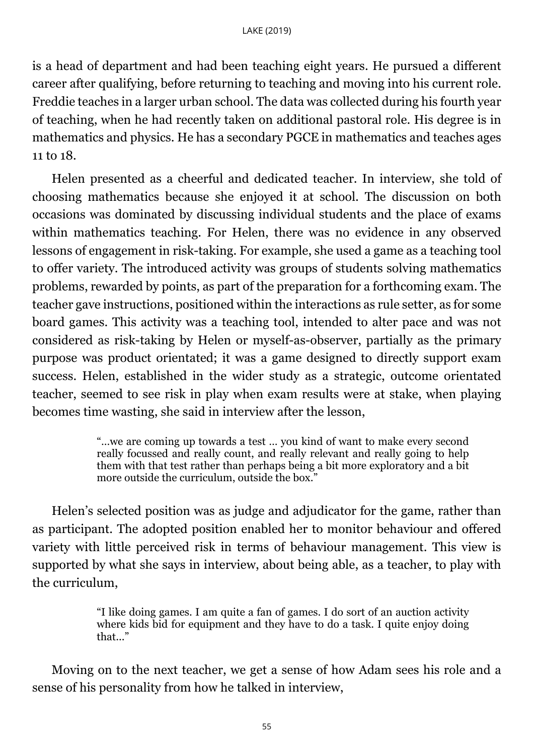is a head of department and had been teaching eight years. He pursued a different career after qualifying, before returning to teaching and moving into his current role. Freddie teaches in a larger urban school. The data was collected during his fourth year of teaching, when he had recently taken on additional pastoral role. His degree is in mathematics and physics. He has a secondary PGCE in mathematics and teaches ages 11 to 18.

Helen presented as a cheerful and dedicated teacher. In interview, she told of choosing mathematics because she enjoyed it at school. The discussion on both occasions was dominated by discussing individual students and the place of exams within mathematics teaching. For Helen, there was no evidence in any observed lessons of engagement in risk-taking. For example, she used a game as a teaching tool to offer variety. The introduced activity was groups of students solving mathematics problems, rewarded by points, as part of the preparation for a forthcoming exam. The teacher gave instructions, positioned within the interactions as rule setter, as for some board games. This activity was a teaching tool, intended to alter pace and was not considered as risk-taking by Helen or myself-as-observer, partially as the primary purpose was product orientated; it was a game designed to directly support exam success. Helen, established in the wider study as a strategic, outcome orientated teacher, seemed to see risk in play when exam results were at stake, when playing becomes time wasting, she said in interview after the lesson,

> "…we are coming up towards a test … you kind of want to make every second really focussed and really count, and really relevant and really going to help them with that test rather than perhaps being a bit more exploratory and a bit more outside the curriculum, outside the box."

Helen's selected position was as judge and adjudicator for the game, rather than as participant. The adopted position enabled her to monitor behaviour and offered variety with little perceived risk in terms of behaviour management. This view is supported by what she says in interview, about being able, as a teacher, to play with the curriculum,

> "I like doing games. I am quite a fan of games. I do sort of an auction activity where kids bid for equipment and they have to do a task. I quite enjoy doing that..."

Moving on to the next teacher, we get a sense of how Adam sees his role and a sense of his personality from how he talked in interview,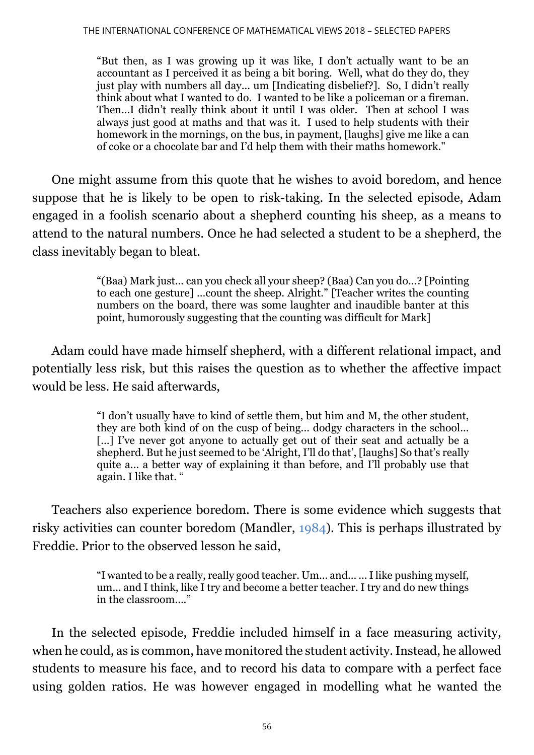"But then, as I was growing up it was like, I don't actually want to be an accountant as I perceived it as being a bit boring. Well, what do they do, they just play with numbers all day... um [Indicating disbelief?]. So, I didn't really think about what I wanted to do. I wanted to be like a policeman or a fireman. Then...I didn't really think about it until I was older. Then at school I was always just good at maths and that was it. I used to help students with their homework in the mornings, on the bus, in payment, [laughs] give me like a can of coke or a chocolate bar and I'd help them with their maths homework."

One might assume from this quote that he wishes to avoid boredom, and hence suppose that he is likely to be open to risk-taking. In the selected episode, Adam engaged in a foolish scenario about a shepherd counting his sheep, as a means to attend to the natural numbers. Once he had selected a student to be a shepherd, the class inevitably began to bleat.

> "(Baa) Mark just... can you check all your sheep? (Baa) Can you do...? [Pointing to each one gesture] …count the sheep. Alright." [Teacher writes the counting numbers on the board, there was some laughter and inaudible banter at this point, humorously suggesting that the counting was difficult for Mark]

Adam could have made himself shepherd, with a different relational impact, and potentially less risk, but this raises the question as to whether the affective impact would be less. He said afterwards,

> "I don't usually have to kind of settle them, but him and M, the other student, they are both kind of on the cusp of being... dodgy characters in the school... [...] I've never got anyone to actually get out of their seat and actually be a shepherd. But he just seemed to be 'Alright, I'll do that', [laughs] So that's really quite a... a better way of explaining it than before, and I'll probably use that again. I like that. "

Teachers also experience boredom. There is some evidence which suggests that risky activities can counter boredom (Mandler, [1984\)](#page-13-0). This is perhaps illustrated by Freddie. Prior to the observed lesson he said,

> "I wanted to be a really, really good teacher. Um... and... ... I like pushing myself, um... and I think, like I try and become a better teacher. I try and do new things in the classroom "

In the selected episode, Freddie included himself in a face measuring activity, when he could, as is common, have monitored the student activity. Instead, he allowed students to measure his face, and to record his data to compare with a perfect face using golden ratios. He was however engaged in modelling what he wanted the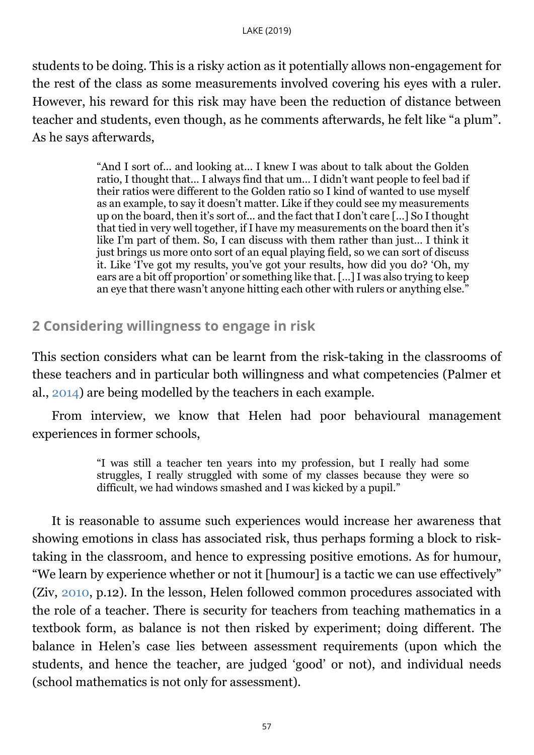students to be doing. This is a risky action as it potentially allows non-engagement for the rest of the class as some measurements involved covering his eyes with a ruler. However, his reward for this risk may have been the reduction of distance between teacher and students, even though, as he comments afterwards, he felt like "a plum". As he says afterwards,

> "And I sort of... and looking at... I knew I was about to talk about the Golden ratio, I thought that... I always find that um... I didn't want people to feel bad if their ratios were different to the Golden ratio so I kind of wanted to use myself as an example, to say it doesn't matter. Like if they could see my measurements up on the board, then it's sort of... and the fact that I don't care […] So I thought that tied in very well together, if I have my measurements on the board then it's like I'm part of them. So, I can discuss with them rather than just… I think it just brings us more onto sort of an equal playing field, so we can sort of discuss it. Like 'I've got my results, you've got your results, how did you do? 'Oh, my ears are a bit off proportion' or something like that. […] I was also trying to keep an eye that there wasn't anyone hitting each other with rulers or anything else."

## <span id="page-7-0"></span>**2 Considering willingness to engage in risk**

This section considers what can be learnt from the risk-taking in the classrooms of these teachers and in particular both willingness and what competencies (Palmer et al., [2014\)](#page-13-0) are being modelled by the teachers in each example.

From interview, we know that Helen had poor behavioural management experiences in former schools,

> "I was still a teacher ten years into my profession, but I really had some struggles, I really struggled with some of my classes because they were so difficult, we had windows smashed and I was kicked by a pupil."

It is reasonable to assume such experiences would increase her awareness that showing emotions in class has associated risk, thus perhaps forming a block to risktaking in the classroom, and hence to expressing positive emotions. As for humour, "We learn by experience whether or not it [humour] is a tactic we can use effectively" (Ziv, [2010,](#page-13-0) p.12). In the lesson, Helen followed common procedures associated with the role of a teacher. There is security for teachers from teaching mathematics in a textbook form, as balance is not then risked by experiment; doing different. The balance in Helen's case lies between assessment requirements (upon which the students, and hence the teacher, are judged 'good' or not), and individual needs (school mathematics is not only for assessment).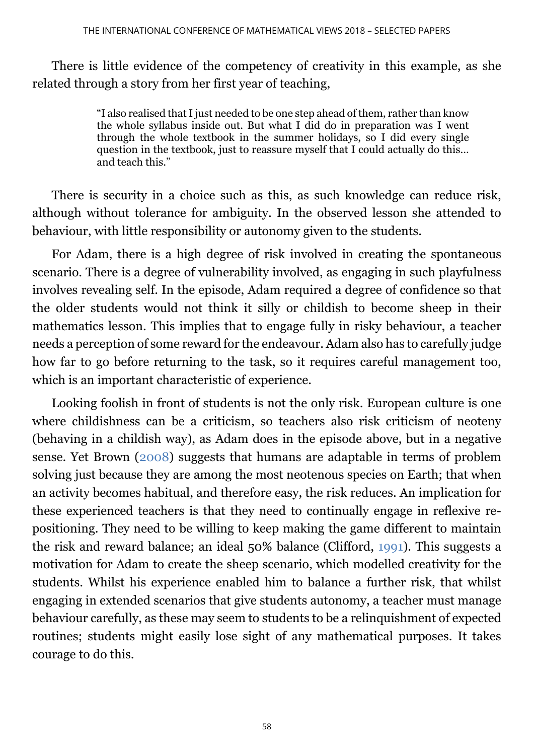There is little evidence of the competency of creativity in this example, as she related through a story from her first year of teaching,

> "I also realised that I just needed to be one step ahead of them, rather than know the whole syllabus inside out. But what I did do in preparation was I went through the whole textbook in the summer holidays, so I did every single question in the textbook, just to reassure myself that I could actually do this… and teach this."

There is security in a choice such as this, as such knowledge can reduce risk, although without tolerance for ambiguity. In the observed lesson she attended to behaviour, with little responsibility or autonomy given to the students.

For Adam, there is a high degree of risk involved in creating the spontaneous scenario. There is a degree of vulnerability involved, as engaging in such playfulness involves revealing self. In the episode, Adam required a degree of confidence so that the older students would not think it silly or childish to become sheep in their mathematics lesson. This implies that to engage fully in risky behaviour, a teacher needs a perception of some reward for the endeavour. Adam also has to carefully judge how far to go before returning to the task, so it requires careful management too, which is an important characteristic of experience.

Looking foolish in front of students is not the only risk. European culture is one where childishness can be a criticism, so teachers also risk criticism of neoteny (behaving in a childish way), as Adam does in the episode above, but in a negative sense. Yet Brown [\(2008\)](#page-13-0) suggests that humans are adaptable in terms of problem solving just because they are among the most neotenous species on Earth; that when an activity becomes habitual, and therefore easy, the risk reduces. An implication for these experienced teachers is that they need to continually engage in reflexive repositioning. They need to be willing to keep making the game different to maintain the risk and reward balance; an ideal 50% balance (Clifford, [1991\)](#page-13-0). This suggests a motivation for Adam to create the sheep scenario, which modelled creativity for the students. Whilst his experience enabled him to balance a further risk, that whilst engaging in extended scenarios that give students autonomy, a teacher must manage behaviour carefully, as these may seem to students to be a relinquishment of expected routines; students might easily lose sight of any mathematical purposes. It takes courage to do this.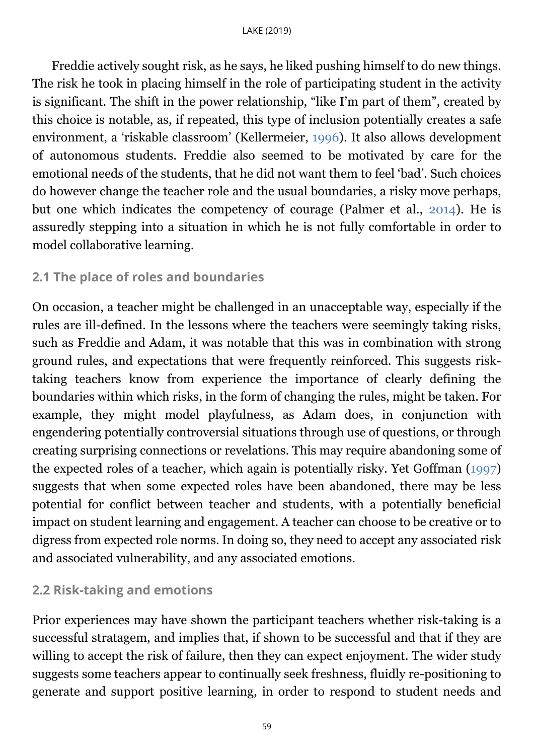Freddie actively sought risk, as he says, he liked pushing himself to do new things. The risk he took in placing himself in the role of participating student in the activity is significant. The shift in the power relationship, "like I'm part of them", created by this choice is notable, as, if repeated, this type of inclusion potentially creates a safe environment, a 'riskable classroom' (Kellermeier, [1996\)](#page-13-0). It also allows development of autonomous students. Freddie also seemed to be motivated by care for the emotional needs of the students, that he did not want them to feel 'bad'. Such choices do however change the teacher role and the usual boundaries, a risky move perhaps, but one which indicates the competency of courage (Palmer et al., [2014\)](#page-13-0). He is assuredly stepping into a situation in which he is not fully comfortable in order to model collaborative learning.

## <span id="page-9-0"></span>**2.1 The place of roles and boundaries**

On occasion, a teacher might be challenged in an unacceptable way, especially if the rules are ill-defined. In the lessons where the teachers were seemingly taking risks, such as Freddie and Adam, it was notable that this was in combination with strong ground rules, and expectations that were frequently reinforced. This suggests risktaking teachers know from experience the importance of clearly defining the boundaries within which risks, in the form of changing the rules, might be taken. For example, they might model playfulness, as Adam does, in conjunction with engendering potentially controversial situations through use of questions, or through creating surprising connections or revelations. This may require abandoning some of the expected roles of a teacher, which again is potentially risky. Yet Goffman [\(1997\)](#page-13-0) suggests that when some expected roles have been abandoned, there may be less potential for conflict between teacher and students, with a potentially beneficial impact on student learning and engagement. A teacher can choose to be creative or to digress from expected role norms. In doing so, they need to accept any associated risk and associated vulnerability, and any associated emotions.

## <span id="page-9-1"></span>**2.2 Risk-taking and emotions**

Prior experiences may have shown the participant teachers whether risk-taking is a successful stratagem, and implies that, if shown to be successful and that if they are willing to accept the risk of failure, then they can expect enjoyment. The wider study suggests some teachers appear to continually seek freshness, fluidly re-positioning to generate and support positive learning, in order to respond to student needs and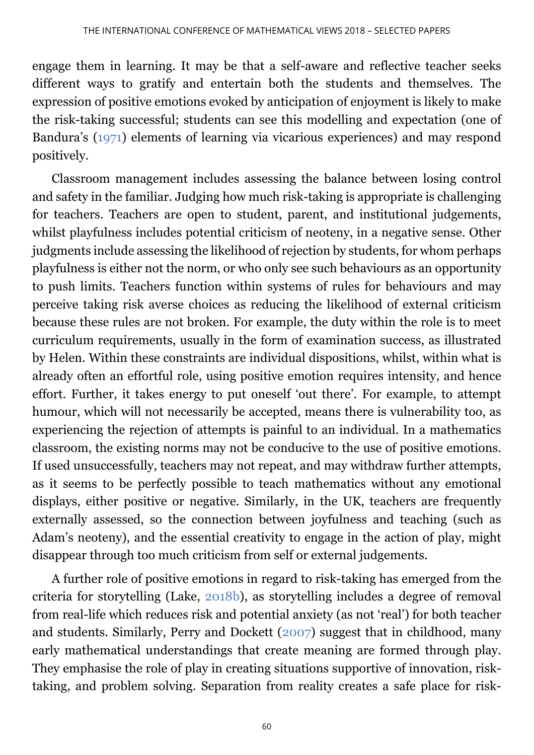engage them in learning. It may be that a self-aware and reflective teacher seeks different ways to gratify and entertain both the students and themselves. The expression of positive emotions evoked by anticipation of enjoyment is likely to make the risk-taking successful; students can see this modelling and expectation (one of Bandura's [\(1971\)](#page-13-0) elements of learning via vicarious experiences) and may respond positively.

Classroom management includes assessing the balance between losing control and safety in the familiar. Judging how much risk-taking is appropriate is challenging for teachers. Teachers are open to student, parent, and institutional judgements, whilst playfulness includes potential criticism of neoteny, in a negative sense. Other judgments include assessing the likelihood of rejection by students, for whom perhaps playfulness is either not the norm, or who only see such behaviours as an opportunity to push limits. Teachers function within systems of rules for behaviours and may perceive taking risk averse choices as reducing the likelihood of external criticism because these rules are not broken. For example, the duty within the role is to meet curriculum requirements, usually in the form of examination success, as illustrated by Helen. Within these constraints are individual dispositions, whilst, within what is already often an effortful role, using positive emotion requires intensity, and hence effort. Further, it takes energy to put oneself 'out there'. For example, to attempt humour, which will not necessarily be accepted, means there is vulnerability too, as experiencing the rejection of attempts is painful to an individual. In a mathematics classroom, the existing norms may not be conducive to the use of positive emotions. If used unsuccessfully, teachers may not repeat, and may withdraw further attempts, as it seems to be perfectly possible to teach mathematics without any emotional displays, either positive or negative. Similarly, in the UK, teachers are frequently externally assessed, so the connection between joyfulness and teaching (such as Adam's neoteny), and the essential creativity to engage in the action of play, might disappear through too much criticism from self or external judgements.

A further role of positive emotions in regard to risk-taking has emerged from the criteria for storytelling (Lake, [2018b\)](#page-13-0), as storytelling includes a degree of removal from real-life which reduces risk and potential anxiety (as not 'real') for both teacher and students. Similarly, Perry and Dockett [\(2007\)](#page-13-0) suggest that in childhood, many early mathematical understandings that create meaning are formed through play. They emphasise the role of play in creating situations supportive of innovation, risktaking, and problem solving. Separation from reality creates a safe place for risk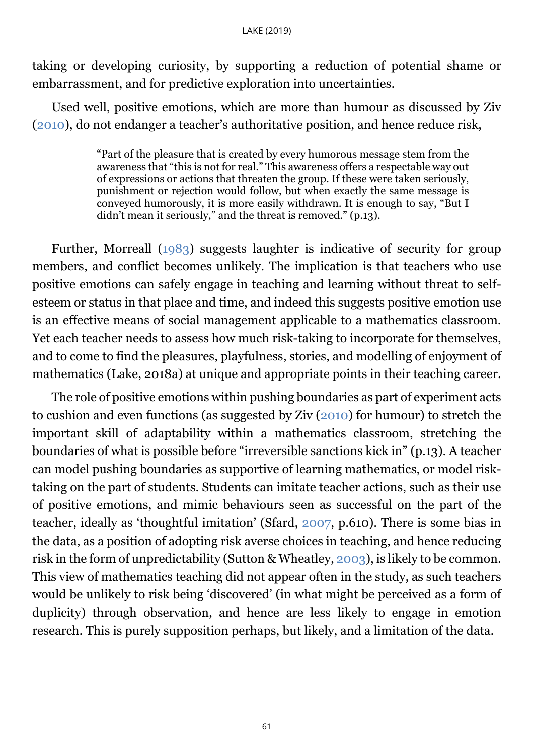<span id="page-11-0"></span>taking or developing curiosity, by supporting a reduction of potential shame or embarrassment, and for predictive exploration into uncertainties.

Used well, positive emotions, which are more than humour as discussed by Ziv [\(2010\)](#page-13-0), do not endanger a teacher's authoritative position, and hence reduce risk,

> "Part of the pleasure that is created by every humorous message stem from the awareness that "this is not for real." This awareness offers a respectable way out of expressions or actions that threaten the group. If these were taken seriously, punishment or rejection would follow, but when exactly the same message is conveyed humorously, it is more easily withdrawn. It is enough to say, "But I didn't mean it seriously," and the threat is removed." (p.13).

Further, Morreall [\(1983\)](#page-13-0) suggests laughter is indicative of security for group members, and conflict becomes unlikely. The implication is that teachers who use positive emotions can safely engage in teaching and learning without threat to selfesteem or status in that place and time, and indeed this suggests positive emotion use is an effective means of social management applicable to a mathematics classroom. Yet each teacher needs to assess how much risk-taking to incorporate for themselves, and to come to find the pleasures, playfulness, stories, and modelling of enjoyment of mathematics (Lake, 2018a) at unique and appropriate points in their teaching career.

The role of positive emotions within pushing boundaries as part of experiment acts to cushion and even functions (as suggested by Ziv [\(2010\)](#page-13-0) for humour) to stretch the important skill of adaptability within a mathematics classroom, stretching the boundaries of what is possible before "irreversible sanctions kick in" (p.13). A teacher can model pushing boundaries as supportive of learning mathematics, or model risktaking on the part of students. Students can imitate teacher actions, such as their use of positive emotions, and mimic behaviours seen as successful on the part of the teacher, ideally as 'thoughtful imitation' (Sfard, [2007,](#page-13-0) p.610). There is some bias in the data, as a position of adopting risk averse choices in teaching, and hence reducing risk in the form of unpredictability (Sutton & Wheatley, [2003\)](#page-13-0), is likely to be common. This view of mathematics teaching did not appear often in the study, as such teachers would be unlikely to risk being 'discovered' (in what might be perceived as a form of duplicity) through observation, and hence are less likely to engage in emotion research. This is purely supposition perhaps, but likely, and a limitation of the data.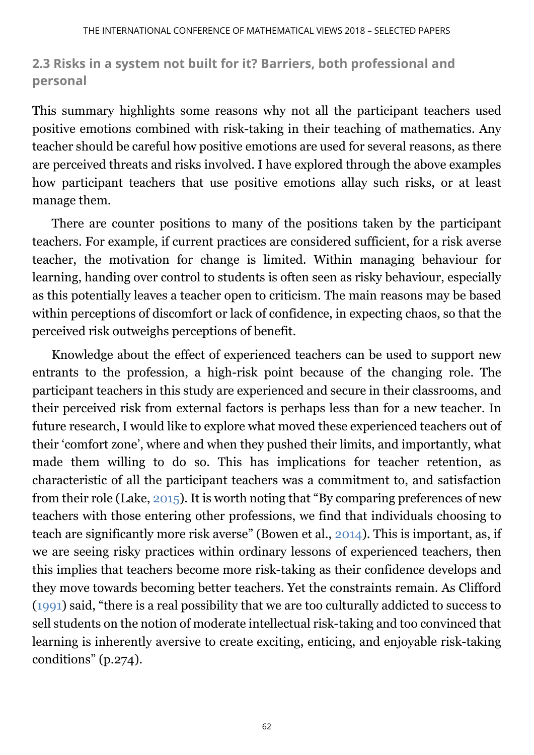## **2.3 Risks in a system not built for it? Barriers, both professional and personal**

This summary highlights some reasons why not all the participant teachers used positive emotions combined with risk-taking in their teaching of mathematics. Any teacher should be careful how positive emotions are used for several reasons, as there are perceived threats and risks involved. I have explored through the above examples how participant teachers that use positive emotions allay such risks, or at least manage them.

There are counter positions to many of the positions taken by the participant teachers. For example, if current practices are considered sufficient, for a risk averse teacher, the motivation for change is limited. Within managing behaviour for learning, handing over control to students is often seen as risky behaviour, especially as this potentially leaves a teacher open to criticism. The main reasons may be based within perceptions of discomfort or lack of confidence, in expecting chaos, so that the perceived risk outweighs perceptions of benefit.

Knowledge about the effect of experienced teachers can be used to support new entrants to the profession, a high-risk point because of the changing role. The participant teachers in this study are experienced and secure in their classrooms, and their perceived risk from external factors is perhaps less than for a new teacher. In future research, I would like to explore what moved these experienced teachers out of their 'comfort zone', where and when they pushed their limits, and importantly, what made them willing to do so. This has implications for teacher retention, as characteristic of all the participant teachers was a commitment to, and satisfaction from their role (Lake, [2015\)](#page-13-0). It is worth noting that "By comparing preferences of new teachers with those entering other professions, we find that individuals choosing to teach are significantly more risk averse" (Bowen et al., [2014\)](#page-13-0). This is important, as, if we are seeing risky practices within ordinary lessons of experienced teachers, then this implies that teachers become more risk-taking as their confidence develops and they move towards becoming better teachers. Yet the constraints remain. As Clifford [\(1991\)](#page-13-0) said, "there is a real possibility that we are too culturally addicted to success to sell students on the notion of moderate intellectual risk-taking and too convinced that learning is inherently aversive to create exciting, enticing, and enjoyable risk-taking conditions" (p.274).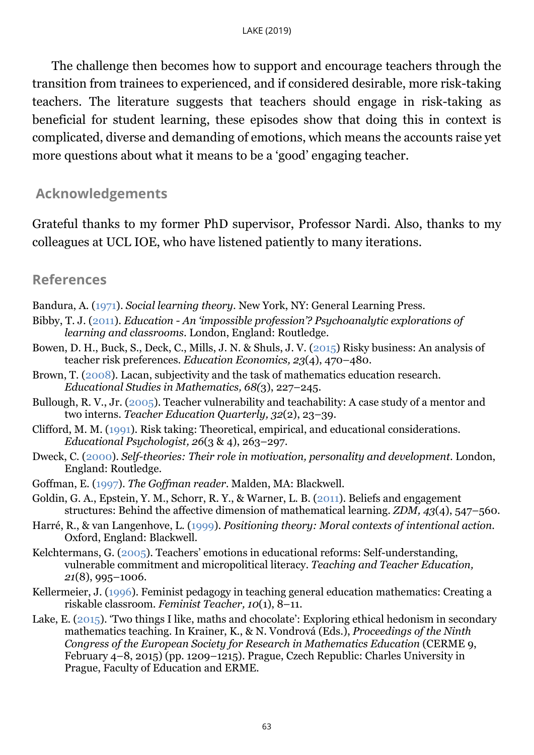The challenge then becomes how to support and encourage teachers through the transition from trainees to experienced, and if considered desirable, more risk-taking teachers. The literature suggests that teachers should engage in risk-taking as beneficial for student learning, these episodes show that doing this in context is complicated, diverse and demanding of emotions, which means the accounts raise yet more questions about what it means to be a 'good' engaging teacher.

#### **Acknowledgements**

Grateful thanks to my former PhD supervisor, Professor Nardi. Also, thanks to my colleagues at UCL IOE, who have listened patiently to many iterations.

#### <span id="page-13-0"></span>**References**

- Bandura, A. [\(1971\)](#page-0-0). *Social learning theory*. New York, NY: General Learning Press.
- Bibby, T. J. [\(2011\)](#page-0-0). *Education - An 'impossible profession'? Psychoanalytic explorations of learning and classrooms*. London, England: Routledge.
- Bowen, D. H., Buck, S., Deck, C., Mills, J. N. & Shuls, J. V. [\(2015\)](#page-11-0) Risky business: An analysis of teacher risk preferences. *Education Economics, 23*(4), 470–480.
- Brown, T. [\(2008\)](#page-7-0). Lacan, subjectivity and the task of mathematics education research. *Educational Studies in Mathematics, 68(*3), 227–245.
- Bullough, R. V., Jr. [\(2005\)](#page-0-0). Teacher vulnerability and teachability: A case study of a mentor and two interns. *Teacher Education Quarterly, 32*(2), 23–39.
- Clifford, M. M. [\(1991\)](#page-0-0). Risk taking: Theoretical, empirical, and educational considerations. *Educational Psychologist, 26*(3 & 4), 263–297.
- Dweck, C. [\(2000\)](#page-0-0). *Self-theories: Their role in motivation, personality and development*. London, England: Routledge.
- Goffman, E. [\(1997\)](#page-9-0). *The Goffman reader*. Malden, MA: Blackwell.
- Goldin, G. A., Epstein, Y. M., Schorr, R. Y., & Warner, L. B. [\(2011\)](#page-3-0). Beliefs and engagement structures: Behind the affective dimension of mathematical learning. *ZDM, 43*(4), 547–560.
- Harré, R., & van Langenhove, L. [\(1999\)](#page-3-0). *Positioning theory: Moral contexts of intentional action.* Oxford, England: Blackwell.
- Kelchtermans, G. [\(2005\)](#page-0-0). Teachers' emotions in educational reforms: Self-understanding, vulnerable commitment and micropolitical literacy. *Teaching and Teacher Education, 21*(8), 995–1006.
- Kellermeier, J. [\(1996\)](#page-7-0). Feminist pedagogy in teaching general education mathematics: Creating a riskable classroom. *Feminist Teacher, 10*(1), 8–11.
- Lake, E. [\(2015\)](#page-11-0). 'Two things I like, maths and chocolate': Exploring ethical hedonism in secondary mathematics teaching. In Krainer, K., & N. Vondrová (Eds.), *Proceedings of the Ninth Congress of the European Society for Research in Mathematics Education* (CERME 9, February 4–8, 2015) (pp. 1209–1215). Prague, Czech Republic: Charles University in Prague, Faculty of Education and ERME.